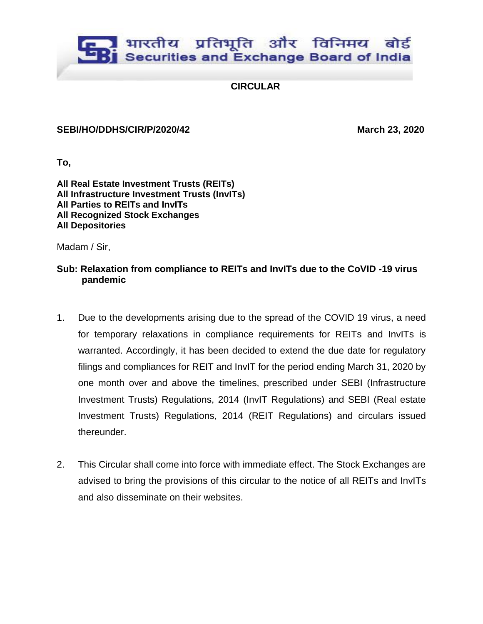## भारतीय प्रतिभूति और विनिमय बोर्ड Securities and Exchange Board of India

**CIRCULAR**

## **SEBI/HO/DDHS/CIR/P/2020/42 March 23, 2020**

**To,** 

**All Real Estate Investment Trusts (REITs) All Infrastructure Investment Trusts (InvITs) All Parties to REITs and InvITs All Recognized Stock Exchanges All Depositories**

Madam / Sir,

## **Sub: Relaxation from compliance to REITs and InvITs due to the CoVID -19 virus pandemic**

- 1. Due to the developments arising due to the spread of the COVID 19 virus, a need for temporary relaxations in compliance requirements for REITs and InvITs is warranted. Accordingly, it has been decided to extend the due date for regulatory filings and compliances for REIT and InvIT for the period ending March 31, 2020 by one month over and above the timelines, prescribed under SEBI (Infrastructure Investment Trusts) Regulations, 2014 (InvIT Regulations) and SEBI (Real estate Investment Trusts) Regulations, 2014 (REIT Regulations) and circulars issued thereunder.
- 2. This Circular shall come into force with immediate effect. The Stock Exchanges are advised to bring the provisions of this circular to the notice of all REITs and InvITs and also disseminate on their websites.